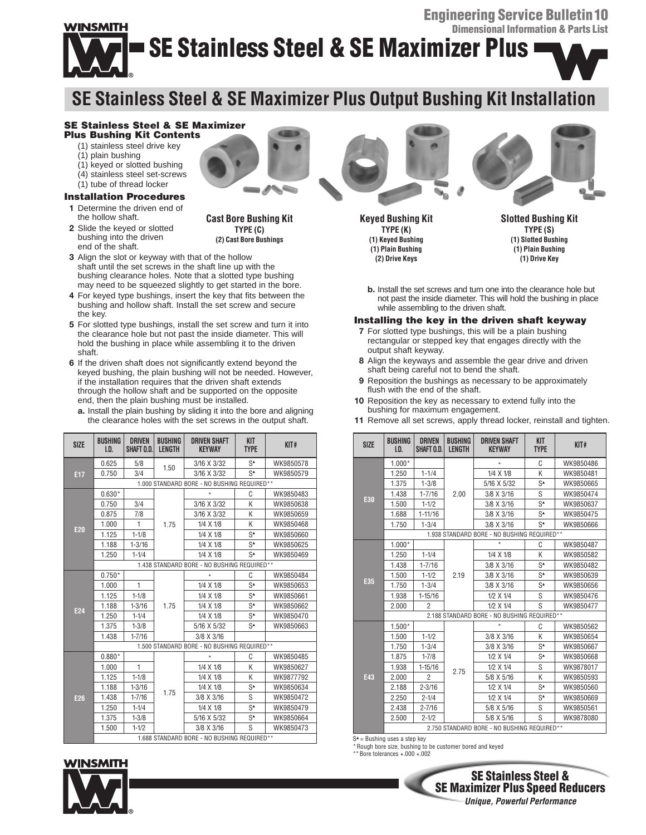# WINSMITH **SE Stainless Steel & SE Maximizer Plus**

## **SE Stainless Steel & SE Maximizer Plus Output Bushing Kit Installation**

#### **SE Stainless Steel & SE Maximizer Plus Bushing Kit Contents**

- (1) stainless steel drive key
- (1) plain bushing
- (1) keyed or slotted bushing
- (4) stainless steel set-screws
- (1) tube of thread locker

### **Installation Procedures**

- **1** Determine the driven end of the hollow shaft.
- **2** Slide the keyed or slotted bushing into the driven end of the shaft.



**Cast Bore Bushing Kit TYPE (C) (2) Cast Bore Bushings**

- **3** Align the slot or keyway with that of the hollow shaft until the set screws in the shaft line up with the bushing clearance holes. Note that a slotted type bushing may need to be squeezed slightly to get started in the bore.
- **4** For keyed type bushings, insert the key that fits between the bushing and hollow shaft. Install the set screw and secure the key.
- **5** For slotted type bushings, install the set screw and turn it into the clearance hole but not past the inside diameter. This will hold the bushing in place while assembling it to the driven shaft.
- **6** If the driven shaft does not significantly extend beyond the keyed bushing, the plain bushing will not be needed. However, if the installation requires that the driven shaft extends through the hollow shaft and be supported on the opposite end, then the plain bushing must be installed.
	- **a.** Install the plain bushing by sliding it into the bore and aligning the clearance holes with the set screws in the output shaft.

| <b>SIZE</b>     | <b>BUSHING</b><br>LD.                       | <b>DRIVEN</b><br>SHAFT O.D. | <b>BUSHING</b><br><b>LENGTH</b> | <b>DRIVEN SHAFT</b><br><b>KEYWAY</b> | <b>KIT</b><br><b>TYPE</b> | KIT#      |  |  |
|-----------------|---------------------------------------------|-----------------------------|---------------------------------|--------------------------------------|---------------------------|-----------|--|--|
| E17             | 0.625                                       | 5/8                         | 1.50                            | 3/16 X 3/32                          | $S^*$                     | WK9850578 |  |  |
|                 | 0.750                                       | 3/4                         |                                 | 3/16 X 3/32                          | $S^*$                     | WK9850579 |  |  |
|                 | 1.000 STANDARD BORE - NO BUSHING REQUIRED** |                             |                                 |                                      |                           |           |  |  |
| <b>E20</b>      | $0.630*$                                    |                             | 1.75                            | $\star$                              | C                         | WK9850483 |  |  |
|                 | 0.750                                       | 3/4                         |                                 | 3/16 X 3/32                          | K                         | WK9850638 |  |  |
|                 | 0.875                                       | 7/8                         |                                 | 3/16 X 3/32                          | K                         | WK9850659 |  |  |
|                 | 1.000                                       | 1                           |                                 | 1/4 X 1/8                            | K                         | WK9850468 |  |  |
|                 | 1.125                                       | $1 - 1/8$                   |                                 | 1/4 X 1/8                            | $S^*$                     | WK9850660 |  |  |
|                 | 1.188                                       | $1 - 3/16$                  |                                 | $1/4 \times 1/8$                     | $S^*$                     | WK9850625 |  |  |
|                 | 1.250                                       | $1 - 1/4$                   |                                 | 1/4 X 1/8                            | $S^*$                     | WK9850469 |  |  |
|                 | 1.438 STANDARD BORE - NO BUSHING REQUIRED** |                             |                                 |                                      |                           |           |  |  |
|                 | $0.750*$                                    |                             | 1.75                            | $\star$                              | C                         | WK9850484 |  |  |
|                 | 1.000                                       | 1                           |                                 | 1/4 X 1/8                            | $S^*$                     | WK9850653 |  |  |
|                 | 1.125                                       | $1 - 1/8$                   |                                 | $1/4 \times 1/8$                     | $S^*$                     | WK9850661 |  |  |
| E <sub>24</sub> | 1.188                                       | $1 - 3/16$                  |                                 | 1/4 X 1/8                            | $S^*$                     | WK9850662 |  |  |
|                 | 1.250                                       | $1 - 1/4$                   |                                 | 1/4 X 1/8                            | $S^*$                     | WK9850470 |  |  |
|                 | 1.375                                       | $1 - 3/8$                   |                                 | 5/16 X 5/32                          | $S^*$                     | WK9850663 |  |  |
|                 | 1.438                                       | $1 - 7/16$                  |                                 | 3/8 X 3/16                           |                           |           |  |  |
|                 | 1.500 STANDARD BORE - NO BUSHING REQUIRED** |                             |                                 |                                      |                           |           |  |  |
|                 | $0.880*$                                    |                             | 1.75                            | $\star$                              | C                         | WK9850485 |  |  |
|                 | 1.000                                       | 1                           |                                 | 1/4 X 1/8                            | K                         | WK9850627 |  |  |
|                 | 1.125                                       | $1 - 1/8$                   |                                 | 1/4 X 1/8                            | K                         | WK9877792 |  |  |
|                 | 1.188                                       | $1 - 3/16$                  |                                 | 1/4 X 1/8                            | $S^*$                     | WK9850634 |  |  |
| E26             | 1.438                                       | $1 - 7/16$                  |                                 | 3/8 X 3/16                           | S                         | WK9850472 |  |  |
|                 | 1.250                                       | $1 - 1/4$                   |                                 | 1/4 X 1/8                            | $S^*$                     | WK9850479 |  |  |
|                 | 1.375                                       | $1 - 3/8$                   |                                 | 5/16 X 5/32                          | $S^*$                     | WK9850664 |  |  |
|                 | 1.500                                       | $1 - 1/2$                   |                                 | 3/8 X 3/16                           | S                         | WK9850473 |  |  |
|                 | 1.688 STANDARD BORE - NO BUSHING REQUIRED** |                             |                                 |                                      |                           |           |  |  |

### **INSMITH**



**Keyed Bushing Kit TYPE (K) (1) Keyed Bushing (1) Plain Bushing (2) Drive Keys**

**Slotted Bushing Kit TYPE (S) (1) Slotted Bushing (1) Plain Bushing (1) Drive Key**

**b.** Install the set screws and turn one into the clearance hole but not past the inside diameter. This will hold the bushing in place while assembling to the driven shaft.

#### **Installing the key in the driven shaft keyway**

- **7** For slotted type bushings, this will be a plain bushing rectangular or stepped key that engages directly with the output shaft keyway.
- **8** Align the keyways and assemble the gear drive and driven shaft being careful not to bend the shaft.
- **9** Reposition the bushings as necessary to be approximately flush with the end of the shaft.
- **10** Reposition the key as necessary to extend fully into the bushing for maximum engagement.

| <b>SIZE</b> | <b>BUSHING</b><br>I.D.                      | <b>DRIVEN</b><br>SHAFT 0.D. | <b>BUSHING</b><br>LENGTH | <b>DRIVEN SHAFT</b><br><b>KEYWAY</b> | KIT<br><b>TYPE</b> | KIT#      |  |  |
|-------------|---------------------------------------------|-----------------------------|--------------------------|--------------------------------------|--------------------|-----------|--|--|
| E30         | $1.000*$                                    |                             | 2.00                     | $\star$                              | C                  | WK9850486 |  |  |
|             | 1.250                                       | $1 - 1/4$                   |                          | 1/4 X 1/8                            | K                  | WK9850481 |  |  |
|             | 1.375                                       | $1 - 3/8$                   |                          | 5/16 X 5/32                          | $S^*$              | WK9850665 |  |  |
|             | 1.438                                       | $1 - 7/16$                  |                          | 3/8 X 3/16                           | S                  | WK9850474 |  |  |
|             | 1.500                                       | $1 - 1/2$                   |                          | 3/8 X 3/16                           | $S^*$              | WK9850637 |  |  |
|             | 1.688                                       | $1 - 11/16$                 |                          | 3/8 X 3/16                           | $S^*$              | WK9850475 |  |  |
|             | 1.750                                       | $1 - 3/4$                   |                          | 3/8 X 3/16                           | $S^*$              | WK9850666 |  |  |
|             | 1.938 STANDARD BORE - NO BUSHING REQUIRED** |                             |                          |                                      |                    |           |  |  |
| E35         | $1.000*$                                    |                             |                          | $\star$                              | C                  | WK9850487 |  |  |
|             | 1.250                                       | $1 - 1/4$                   | 2.19                     | 1/4 X 1/8                            | K                  | WK9850582 |  |  |
|             | 1.438                                       | $1 - 7/16$                  |                          | 3/8 X 3/16                           | $S^*$              | WK9850482 |  |  |
|             | 1.500                                       | $1 - 1/2$                   |                          | 3/8 X 3/16                           | $S^*$              | WK9850639 |  |  |
|             | 1.750                                       | $1 - 3/4$                   |                          | 3/8 X 3/16                           | $S^*$              | WK9850656 |  |  |
|             | 1.938                                       | $1 - 15/16$                 |                          | 1/2 X 1/4                            | S                  | WK9850476 |  |  |
|             | 2.000                                       | $\mathfrak{p}$              |                          | 1/2 X 1/4                            | S                  | WK9850477 |  |  |
|             | 2.188 STANDARD BORE - NO BUSHING REQUIRED** |                             |                          |                                      |                    |           |  |  |
| E43         | $1.500*$                                    |                             | 2.75                     | $\star$                              | C                  | WK9850562 |  |  |
|             | 1.500                                       | $1 - 1/2$                   |                          | 3/8 X 3/16                           | K                  | WK9850654 |  |  |
|             | 1.750                                       | $1 - 3/4$                   |                          | 3/8 X 3/16                           | $S^*$              | WK9850667 |  |  |
|             | 1.875                                       | $1 - 7/8$                   |                          | 1/2 X 1/4                            | $S^*$              | WK9850668 |  |  |
|             | 1.938                                       | $1 - 15/16$                 |                          | 1/2 X 1/4                            | S                  | WK9878017 |  |  |
|             | 2.000                                       | 2                           |                          | 5/8 X 5/16                           | K                  | WK9850593 |  |  |
|             | 2.188                                       | $2 - 3/16$                  |                          | 1/2 X 1/4                            | $S^*$              | WK9850560 |  |  |
|             | 2.250                                       | $2 - 1/4$                   |                          | 1/2 X 1/4                            | $S^*$              | WK9850669 |  |  |
|             | 2.438                                       | $2 - 7/16$                  |                          | 5/8 X 5/16                           | S                  | WK9850561 |  |  |
|             | 2.500                                       | $2 - 1/2$                   |                          | 5/8 X 5/16                           | S                  | WK9878080 |  |  |
|             | 2.750 STANDARD BORE - NO BUSHING REQUIRED** |                             |                          |                                      |                    |           |  |  |

**11** Remove all set screws, apply thread locker, reinstall and tighten.

S▲= Bushing uses a step key<br>\* Rough bore size, bushing to be customer bored and keyed \*\*Bore tolerances +.000 +.002









**Engineering Service Bulletin10 Dimensional Information & Parts List**